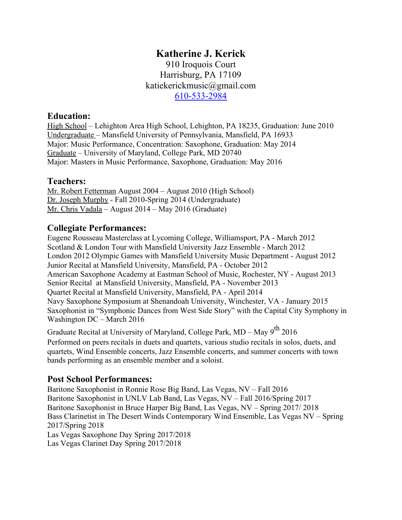# **Katherine J. Kerick**

910 Iroquois Court Harrisburg, PA 17109 katiekerickmusic@gmail.com 610-533-2984

### **Education:**

High School – Lehighton Area High School, Lehighton, PA 18235, Graduation: June 2010 Undergraduate – Mansfield University of Pennsylvania, Mansfield, PA 16933 Major: Music Performance, Concentration: Saxophone, Graduation: May 2014 Graduate – University of Maryland, College Park, MD 20740 Major: Masters in Music Performance, Saxophone, Graduation: May 2016

## **Teachers:**

Mr. Robert Fetterman August 2004 – August 2010 (High School) Dr. Joseph Murphy - Fall 2010-Spring 2014 (Undergraduate) Mr. Chris Vadala – August 2014 – May 2016 (Graduate)

## **Collegiate Performances:**

Eugene Rousseau Masterclass at Lycoming College, Williamsport, PA - March 2012 Scotland & London Tour with Mansfield University Jazz Ensemble - March 2012 London 2012 Olympic Games with Mansfield University Music Department - August 2012 Junior Recital at Mansfield University, Mansfield, PA - October 2012 American Saxophone Academy at Eastman School of Music, Rochester, NY - August 2013 Senior Recital at Mansfield University, Mansfield, PA - November 2013 Quartet Recital at Mansfield University, Mansfield, PA - April 2014 Navy Saxophone Symposium at Shenandoah University, Winchester, VA - January 2015 Saxophonist in "Symphonic Dances from West Side Story" with the Capital City Symphony in Washington DC – March 2016

Graduate Recital at University of Maryland, College Park, MD – May  $9^{th}$  2016 Performed on peers recitals in duets and quartets, various studio recitals in solos, duets, and quartets, Wind Ensemble concerts, Jazz Ensemble concerts, and summer concerts with town bands performing as an ensemble member and a soloist.

## **Post School Performances:**

Baritone Saxophonist in Ronnie Rose Big Band, Las Vegas, NV – Fall 2016 Baritone Saxophonist in UNLV Lab Band, Las Vegas, NV – Fall 2016/Spring 2017 Baritone Saxophonist in Bruce Harper Big Band, Las Vegas, NV – Spring 2017/ 2018 Bass Clarinetist in The Desert Winds Contemporary Wind Ensemble, Las Vegas NV – Spring 2017/Spring 2018 Las Vegas Saxophone Day Spring 2017/2018 Las Vegas Clarinet Day Spring 2017/2018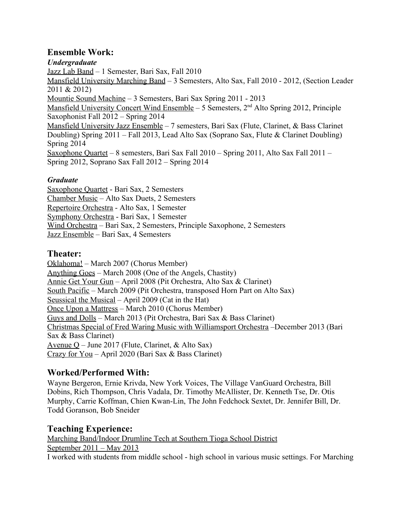## **Ensemble Work:**

*Undergraduate* Jazz Lab Band – 1 Semester, Bari Sax, Fall 2010 Mansfield University Marching Band – 3 Semesters, Alto Sax, Fall 2010 - 2012, (Section Leader 2011 & 2012) Mountie Sound Machine – 3 Semesters, Bari Sax Spring 2011 - 2013 Mansfield University Concert Wind Ensemble - 5 Semesters, 2<sup>nd</sup> Alto Spring 2012, Principle Saxophonist Fall 2012 – Spring 2014 Mansfield University Jazz Ensemble – 7 semesters, Bari Sax (Flute, Clarinet, & Bass Clarinet Doubling) Spring 2011 – Fall 2013, Lead Alto Sax (Soprano Sax, Flute & Clarinet Doubling) Spring 2014 Saxophone Quartet – 8 semesters, Bari Sax Fall 2010 – Spring 2011, Alto Sax Fall 2011 – Spring 2012, Soprano Sax Fall 2012 – Spring 2014

## *Graduate*

Saxophone Quartet - Bari Sax, 2 Semesters Chamber Music – Alto Sax Duets, 2 Semesters Repertoire Orchestra - Alto Sax, 1 Semester Symphony Orchestra - Bari Sax, 1 Semester Wind Orchestra – Bari Sax, 2 Semesters, Principle Saxophone, 2 Semesters Jazz Ensemble – Bari Sax, 4 Semesters

## **Theater:**

Oklahoma! – March 2007 (Chorus Member) Anything Goes – March 2008 (One of the Angels, Chastity) Annie Get Your Gun – April 2008 (Pit Orchestra, Alto Sax & Clarinet) South Pacific – March 2009 (Pit Orchestra, transposed Horn Part on Alto Sax) Seussical the Musical – April 2009 (Cat in the Hat) Once Upon a Mattress – March 2010 (Chorus Member) Guys and Dolls – March 2013 (Pit Orchestra, Bari Sax & Bass Clarinet) Christmas Special of Fred Waring Music with Williamsport Orchestra –December 2013 (Bari Sax & Bass Clarinet) Avenue Q – June 2017 (Flute, Clarinet, & Alto Sax) Crazy for You – April 2020 (Bari Sax & Bass Clarinet)

## **Worked/Performed With:**

Wayne Bergeron, Ernie Krivda, New York Voices, The Village VanGuard Orchestra, Bill Dobins, Rich Thompson, Chris Vadala, Dr. Timothy McAllister, Dr. Kenneth Tse, Dr. Otis Murphy, Carrie Koffman, Chien Kwan-Lin, The John Fedchock Sextet, Dr. Jennifer Bill, Dr. Todd Goranson, Bob Sneider

## **Teaching Experience:**

Marching Band/Indoor Drumline Tech at Southern Tioga School District September 2011 – May 2013 I worked with students from middle school - high school in various music settings. For Marching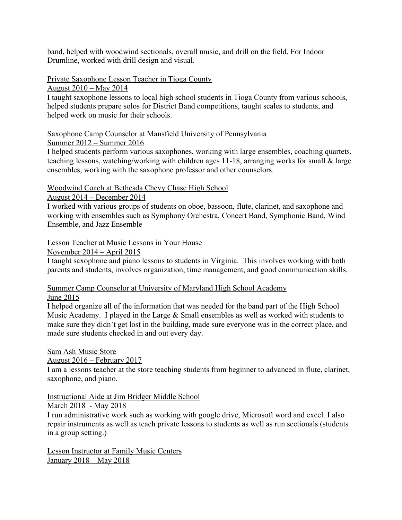band, helped with woodwind sectionals, overall music, and drill on the field. For Indoor Drumline, worked with drill design and visual.

### Private Saxophone Lesson Teacher in Tioga County

August 2010 – May 2014

I taught saxophone lessons to local high school students in Tioga County from various schools, helped students prepare solos for District Band competitions, taught scales to students, and helped work on music for their schools.

#### Saxophone Camp Counselor at Mansfield University of Pennsylvania

#### Summer 2012 – Summer 2016

I helped students perform various saxophones, working with large ensembles, coaching quartets, teaching lessons, watching/working with children ages 11-18, arranging works for small & large ensembles, working with the saxophone professor and other counselors.

#### Woodwind Coach at Bethesda Chevy Chase High School

#### August 2014 – December 2014

I worked with various groups of students on oboe, bassoon, flute, clarinet, and saxophone and working with ensembles such as Symphony Orchestra, Concert Band, Symphonic Band, Wind Ensemble, and Jazz Ensemble

#### Lesson Teacher at Music Lessons in Your House

November 2014 – April 2015

I taught saxophone and piano lessons to students in Virginia. This involves working with both parents and students, involves organization, time management, and good communication skills.

### Summer Camp Counselor at University of Maryland High School Academy

#### June 2015

I helped organize all of the information that was needed for the band part of the High School Music Academy. I played in the Large & Small ensembles as well as worked with students to make sure they didn't get lost in the building, made sure everyone was in the correct place, and made sure students checked in and out every day.

### Sam Ash Music Store

### August 2016 – February 2017

I am a lessons teacher at the store teaching students from beginner to advanced in flute, clarinet, saxophone, and piano.

## Instructional Aide at Jim Bridger Middle School

### March 2018 - May 2018

I run administrative work such as working with google drive, Microsoft word and excel. I also repair instruments as well as teach private lessons to students as well as run sectionals (students in a group setting.)

Lesson Instructor at Family Music Centers January 2018 – May 2018